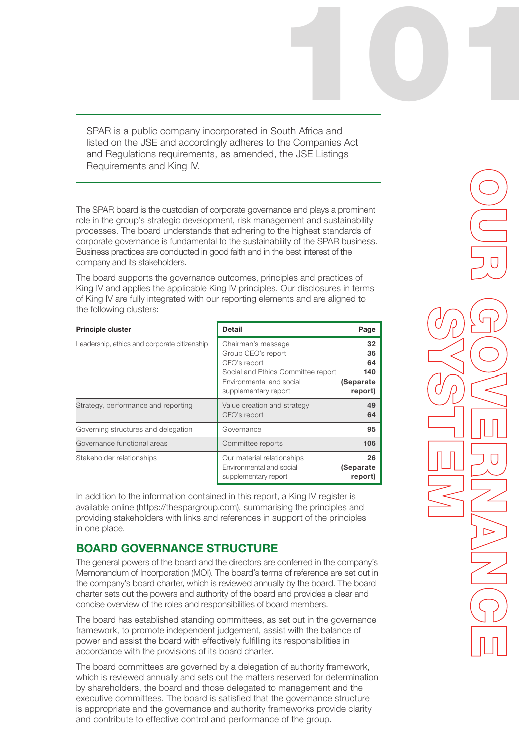SPAR is a public company incorporated in South Africa and listed on the JSE and accordingly adheres to the Companies Act and Regulations requirements, as amended, the JSE Listings Requirements and King IV. 101

The SPAR board is the custodian of corporate governance and plays a prominent role in the group's strategic development, risk management and sustainability processes. The board understands that adhering to the highest standards of corporate governance is fundamental to the sustainability of the SPAR business. Business practices are conducted in good faith and in the best interest of the company and its stakeholders.

The board supports the governance outcomes, principles and practices of King IV and applies the applicable King IV principles. Our disclosures in terms of King IV are fully integrated with our reporting elements and are aligned to the following clusters:

| <b>Principle cluster</b>                     | <b>Detail</b>                                                                                                                                      | Page                                          |
|----------------------------------------------|----------------------------------------------------------------------------------------------------------------------------------------------------|-----------------------------------------------|
| Leadership, ethics and corporate citizenship | Chairman's message<br>Group CEO's report<br>CFO's report<br>Social and Ethics Committee report<br>Environmental and social<br>supplementary report | 32<br>36<br>64<br>140<br>(Separate<br>report) |
| Strategy, performance and reporting          | Value creation and strategy<br>CFO's report                                                                                                        | 49<br>64                                      |
| Governing structures and delegation          | Governance                                                                                                                                         | 95                                            |
| Governance functional areas                  | Committee reports                                                                                                                                  | 106                                           |
| Stakeholder relationships                    | Our material relationships<br>Environmental and social<br>supplementary report                                                                     | 26<br>(Separate<br>report)                    |

In addition to the information contained in this report, a King IV register is available online (https://thespargroup.com), summarising the principles and providing stakeholders with links and references in support of the principles in one place.

# BOARD GOVERNANCE STRUCTURE

The general powers of the board and the directors are conferred in the company's Memorandum of Incorporation (MOI). The board's terms of reference are set out in the company's board charter, which is reviewed annually by the board. The board charter sets out the powers and authority of the board and provides a clear and concise overview of the roles and responsibilities of board members.

The board has established standing committees, as set out in the governance framework, to promote independent judgement, assist with the balance of power and assist the board with effectively fulfilling its responsibilities in accordance with the provisions of its board charter.

The board committees are governed by a delegation of authority framework, which is reviewed annually and sets out the matters reserved for determination by shareholders, the board and those delegated to management and the executive committees. The board is satisfied that the governance structure is appropriate and the governance and authority frameworks provide clarity and contribute to effective control and performance of the group.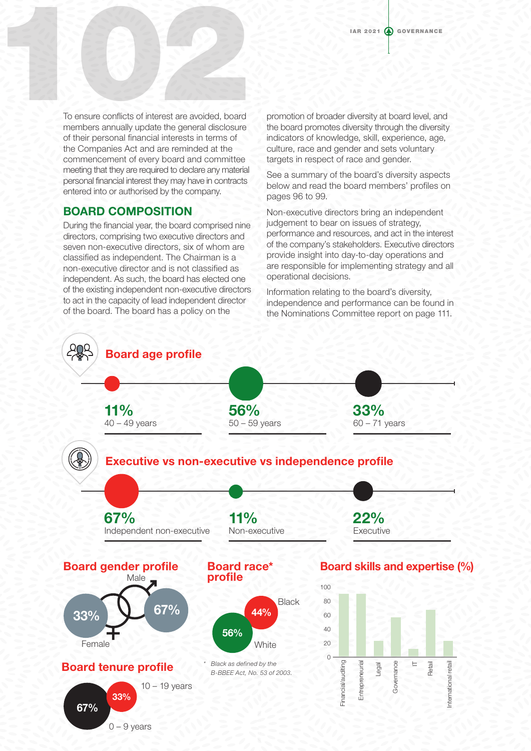To ensure conflicts of interest are avoided, board members annually update the general disclosure of their personal financial interests in terms of the Companies Act and are reminded at the commencement of every board and committee meeting that they are required to declare any material personal financial interest they may have in contracts entered into or authorised by the company. To ensure conflicts of interest are avoided, board

### BOARD COMPOSITION

During the financial year, the board comprised nine directors, comprising two executive directors and seven non-executive directors, six of whom are classified as independent. The Chairman is a non-executive director and is not classified as independent. As such, the board has elected one of the existing independent non-executive directors to act in the capacity of lead independent director of the board. The board has a policy on the

promotion of broader diversity at board level, and the board promotes diversity through the diversity indicators of knowledge, skill, experience, age, culture, race and gender and sets voluntary targets in respect of race and gender.

See a summary of the board's diversity aspects below and read the board members' profiles on pages 96 to 99.

Non-executive directors bring an independent judgement to bear on issues of strategy, performance and resources, and act in the interest of the company's stakeholders. Executive directors provide insight into day-to-day operations and are responsible for implementing strategy and all operational decisions.

Information relating to the board's diversity, independence and performance can be found in the Nominations Committee report on page 111.

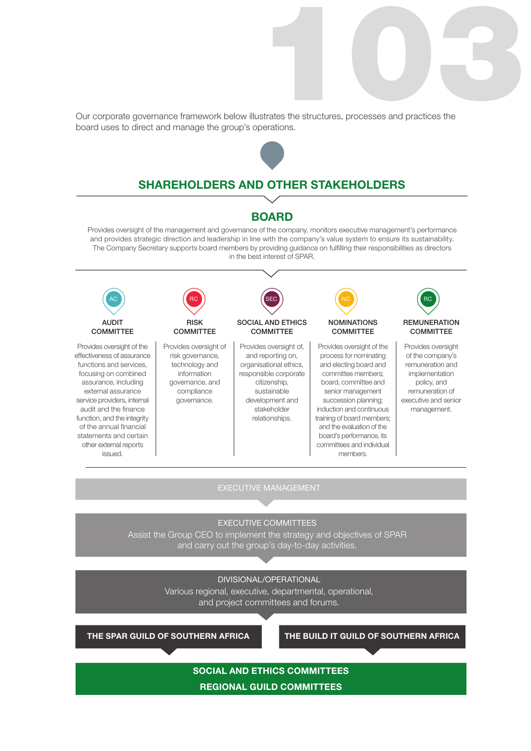Strates the structures, processes and practices the Our corporate governance framework below illustrates the structures, processes and practices the board uses to direct and manage the group's operations.



## SHAREHOLDERS AND OTHER STAKEHOLDERS

### BOARD

Provides oversight of the management and governance of the company, monitors executive management's performance and provides strategic direction and leadership in line with the company's value system to ensure its sustainability. The Company Secretary supports board members by providing guidance on fulfilling their responsibilities as directors in the best interest of SPAR.



EXECUTIVE MANAGEMENT

#### EXECUTIVE COMMITTEES

Assist the Group CEO to implement the strategy and objectives of SPAR and carry out the group's day-to-day activities.

#### DIVISIONAL/OPERATIONAL

Various regional, executive, departmental, operational, and project committees and forums.

THE SPAR GUILD OF SOUTHERN AFRICA THE BUILD IT GUILD OF SOUTHERN AFRICA

## SOCIAL AND ETHICS COMMITTEES REGIONAL GUILD COMMITTEES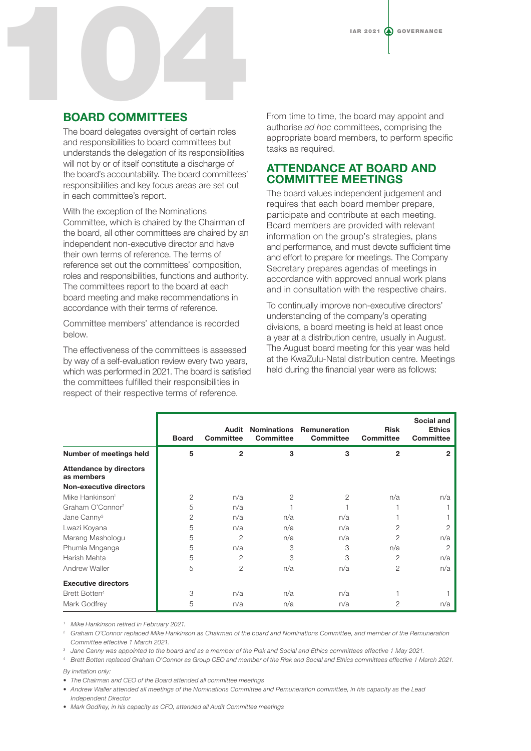

# BOARD COMMITTEES

The board delegates oversight of certain roles and responsibilities to board committees but understands the delegation of its responsibilities will not by or of itself constitute a discharge of the board's accountability. The board committees' responsibilities and key focus areas are set out in each committee's report.

With the exception of the Nominations Committee, which is chaired by the Chairman of the board, all other committees are chaired by an independent non-executive director and have their own terms of reference. The terms of reference set out the committees' composition, roles and responsibilities, functions and authority. The committees report to the board at each board meeting and make recommendations in accordance with their terms of reference.

Committee members' attendance is recorded below.

The effectiveness of the committees is assessed by way of a self-evaluation review every two years, which was performed in 2021. The board is satisfied the committees fulfilled their responsibilities in respect of their respective terms of reference.

From time to time, the board may appoint and authorise *ad hoc* committees, comprising the appropriate board members, to perform specific tasks as required.

## ATTENDANCE AT BOARD AND COMMITTEE MEETINGS

The board values independent judgement and requires that each board member prepare, participate and contribute at each meeting. Board members are provided with relevant information on the group's strategies, plans and performance, and must devote sufficient time and effort to prepare for meetings. The Company Secretary prepares agendas of meetings in accordance with approved annual work plans and in consultation with the respective chairs.

To continually improve non-executive directors' understanding of the company's operating divisions, a board meeting is held at least once a year at a distribution centre, usually in August. The August board meeting for this year was held at the KwaZulu-Natal distribution centre. Meetings held during the financial year were as follows:

|                                              | <b>Board</b> | Audit<br><b>Committee</b> | <b>Committee</b> | Nominations Remuneration<br><b>Committee</b> | <b>Risk</b><br><b>Committee</b> | Social and<br><b>Ethics</b><br><b>Committee</b> |
|----------------------------------------------|--------------|---------------------------|------------------|----------------------------------------------|---------------------------------|-------------------------------------------------|
| Number of meetings held                      | 5            | $\overline{2}$            | 3                | 3                                            | $\overline{2}$                  | 2                                               |
| <b>Attendance by directors</b><br>as members |              |                           |                  |                                              |                                 |                                                 |
| Non-executive directors                      |              |                           |                  |                                              |                                 |                                                 |
| Mike Hankinson <sup>1</sup>                  | 2            | n/a                       | 2                | 2                                            | n/a                             | n/a                                             |
| Graham O'Connor <sup>2</sup>                 | 5            | n/a                       |                  |                                              |                                 |                                                 |
| Jane Canny <sup>3</sup>                      | 2            | n/a                       | n/a              | n/a                                          |                                 |                                                 |
| Lwazi Koyana                                 | 5            | n/a                       | n/a              | n/a                                          | $\overline{2}$                  | $\overline{2}$                                  |
| Marang Mashologu                             | 5            | $\overline{2}$            | n/a              | n/a                                          | 2                               | n/a                                             |
| Phumla Mnganga                               | 5            | n/a                       | 3                | 3                                            | n/a                             | 2                                               |
| Harish Mehta                                 | 5            | 2                         | 3                | 3                                            | $\overline{2}$                  | n/a                                             |
| <b>Andrew Waller</b>                         | 5            | 2                         | n/a              | n/a                                          | 2                               | n/a                                             |
| <b>Executive directors</b>                   |              |                           |                  |                                              |                                 |                                                 |
| Brett Botten <sup>4</sup>                    | 3            | n/a                       | n/a              | n/a                                          |                                 |                                                 |
| Mark Godfrey                                 | 5            | n/a                       | n/a              | n/a                                          | 2                               | n/a                                             |

*<sup>1</sup> Mike Hankinson retired in February 2021.*

*2 Graham O'Connor replaced Mike Hankinson as Chairman of the board and Nominations Committee, and member of the Remuneration Committee effective 1 March 2021.*

*<sup>3</sup> Jane Canny was appointed to the board and as a member of the Risk and Social and Ethics committees effective 1 May 2021.*

*<sup>4</sup> Brett Botten replaced Graham O'Connor as Group CEO and member of the Risk and Social and Ethics committees effective 1 March 2021. By invitation only:*

*• The Chairman and CEO of the Board attended all committee meetings*

*• Andrew Waller attended all meetings of the Nominations Committee and Remuneration committee, in his capacity as the Lead Independent Director*

*• Mark Godfrey, in his capacity as CFO, attended all Audit Committee meetings*